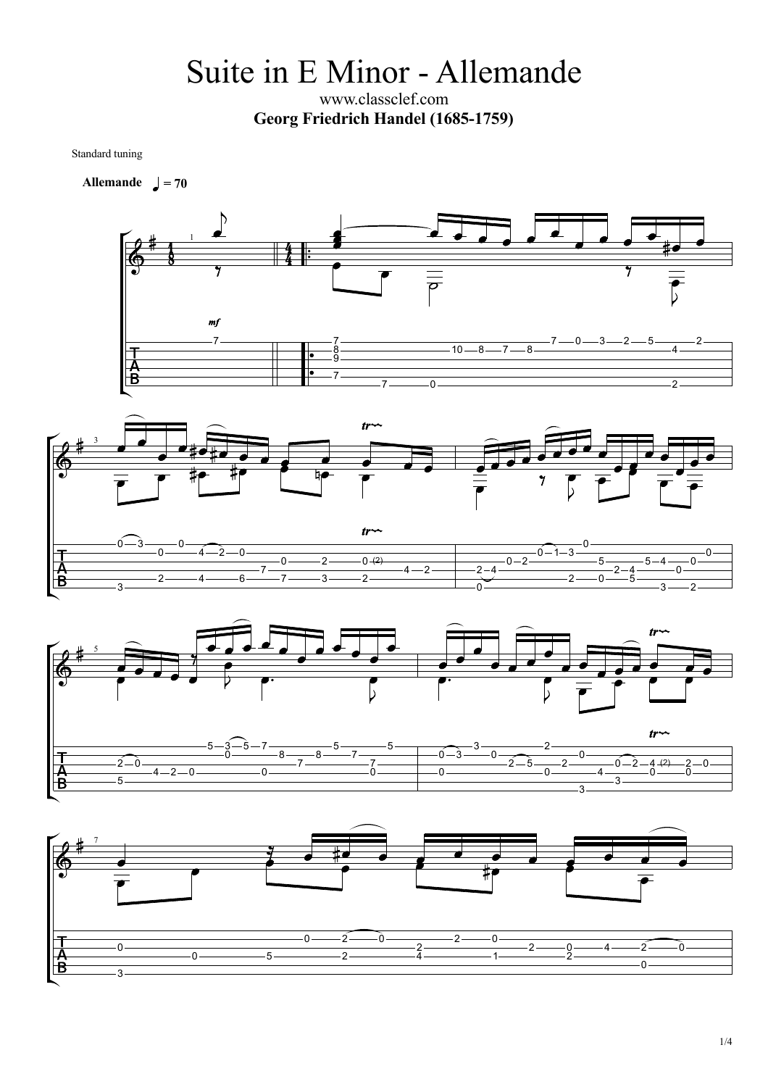## Suite in E Minor - Allemande

www.classclef.com **Georg Friedrich Handel (1685-1759)**

Standard tuning

Allemande  $= 70$ 







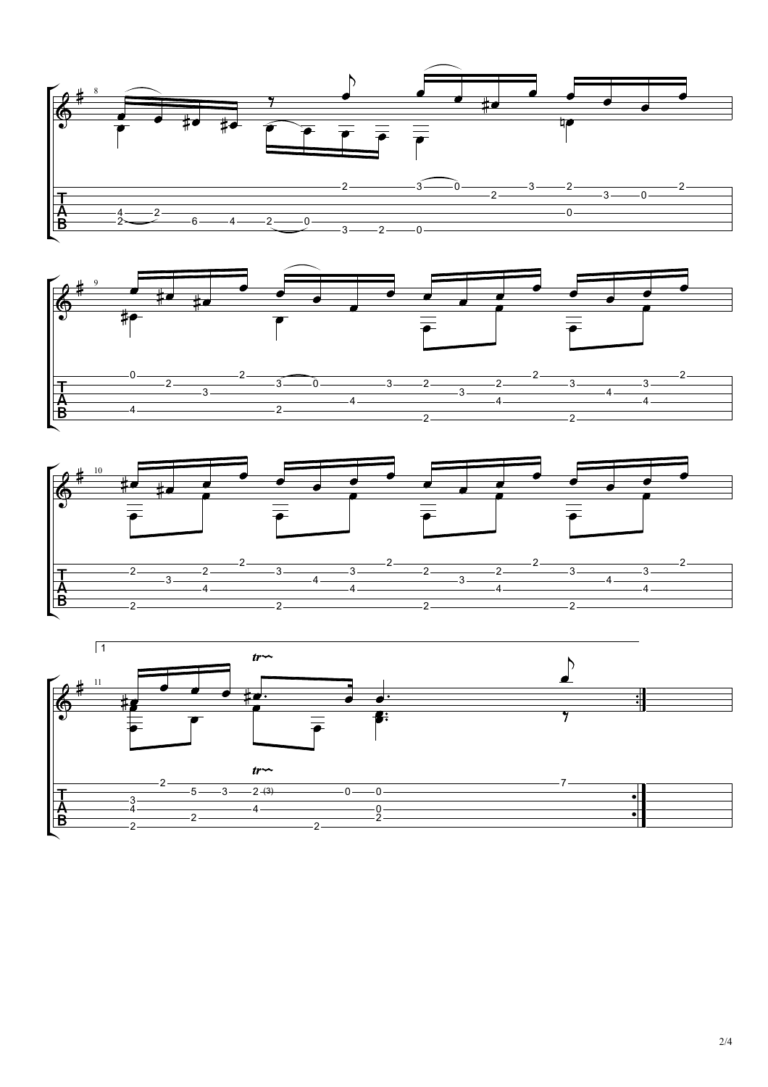





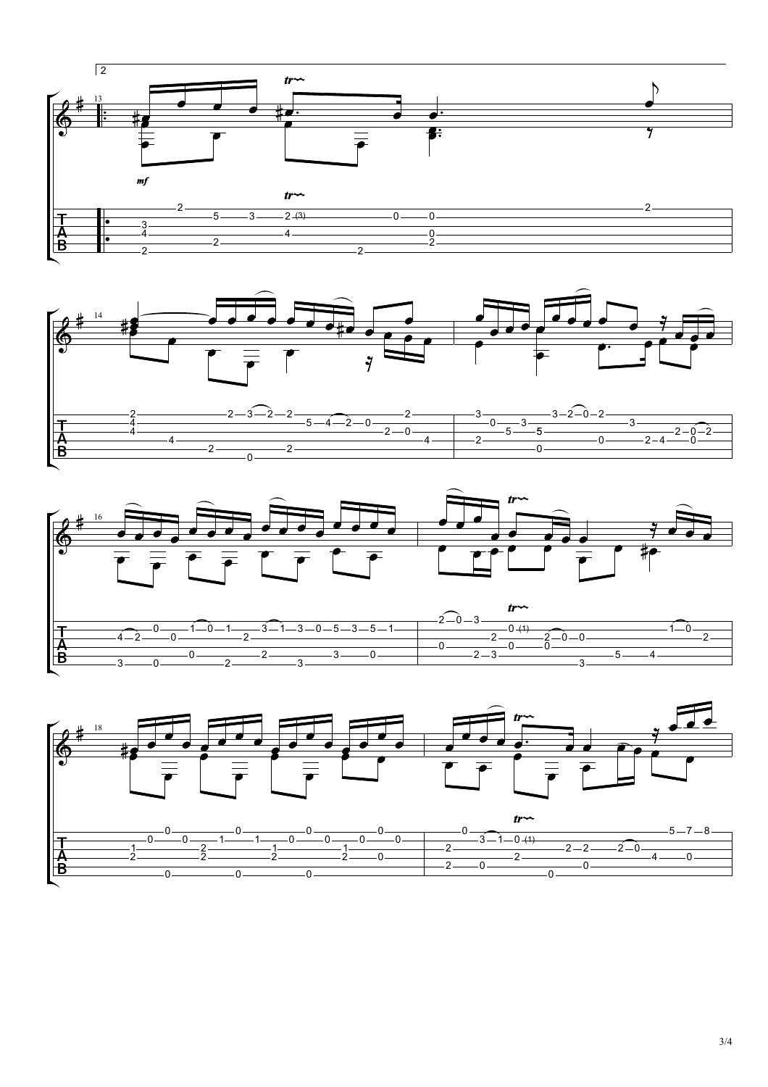